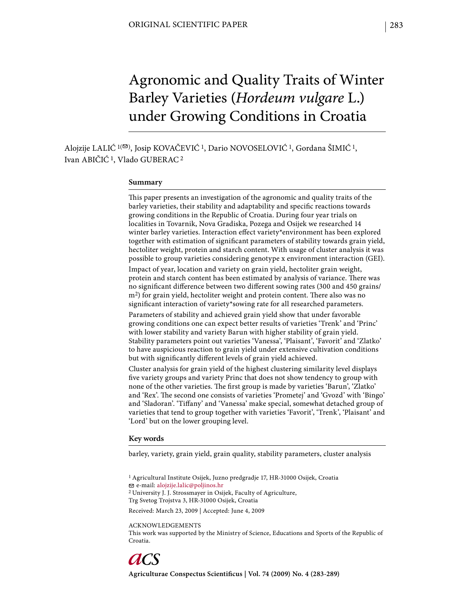# Agronomic and Quality Traits of Winter Barley Varieties (*Hordeum vulgare* L.) under Growing Conditions in Croatia

Alojzije LALIĆ <sup>1( $\Xi$ )</sup>, Josip KOVAČEVIĆ <sup>1</sup>, Dario NOVOSELOVIĆ <sup>1</sup>, Gordana ŠIMIĆ <sup>1</sup>, Ivan ABIČIĆ 1, Vlado GUBERAC 2

#### **Summary**

This paper presents an investigation of the agronomic and quality traits of the barley varieties, their stability and adaptability and specific reactions towards growing conditions in the Republic of Croatia. During four year trials on localities in Tovarnik, Nova Gradiska, Pozega and Osijek we researched 14 winter barley varieties. Interaction effect variety\*environment has been explored together with estimation of significant parameters of stability towards grain yield, hectoliter weight, protein and starch content. With usage of cluster analysis it was possible to group varieties considering genotype x environment interaction (GEI).

Impact of year, location and variety on grain yield, hectoliter grain weight, protein and starch content has been estimated by analysis of variance. There was no significant difference between two different sowing rates (300 and 450 grains/ m<sup>2</sup>) for grain yield, hectoliter weight and protein content. There also was no significant interaction of variety\*sowing rate for all researched parameters.

Parameters of stability and achieved grain yield show that under favorable growing conditions one can expect better results of varieties 'Trenk' and 'Princ' with lower stability and variety Barun with higher stability of grain yield. Stability parameters point out varieties 'Vanessa', 'Plaisant', 'Favorit' and 'Zlatko' to have auspicious reaction to grain yield under extensive cultivation conditions but with significantly different levels of grain yield achieved.

Cluster analysis for grain yield of the highest clustering similarity level displays five variety groups and variety Princ that does not show tendency to group with none of the other varieties. The first group is made by varieties 'Barun', 'Zlatko' and 'Rex'. The second one consists of varieties 'Prometej' and 'Gvozd' with 'Bingo' and 'Sladoran'. 'Tiffany' and 'Vanessa' make special, somewhat detached group of varieties that tend to group together with varieties 'Favorit', 'Trenk', 'Plaisant' and 'Lord' but on the lower grouping level.

#### **Key words**

barley, variety, grain yield, grain quality, stability parameters, cluster analysis

1 Agricultural Institute Osijek, Juzno predgradje 17, HR-31000 Osijek, Croatia e-mail: alojzije.lalic@poljinos.hr 2 University J. J. Strossmayer in Osijek, Faculty of Agriculture, Trg Svetog Trojstva 3, HR-31000 Osijek, Croatia

Received: March 23, 2009 | Accepted: June 4, 2009

ACKNOWLEDGEMENTS This work was supported by the Ministry of Science, Educations and Sports of the Republic of Croatia.

Agriculturae Conspectus Scientificus | Vol. 74 (2009) No. 4 (283-289)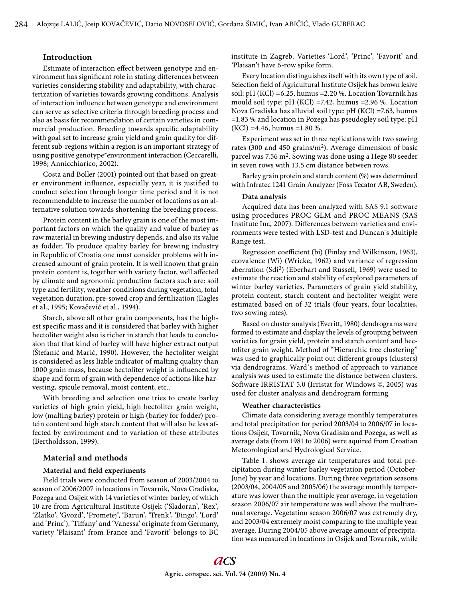# **Introduction**

Estimate of interaction effect between genotype and environment has significant role in stating differences between varieties considering stability and adaptability, with characterization of varieties towards growing conditions. Analysis of interaction influence between genotype and environment can serve as selective criteria through breeding process and also as basis for recommendation of certain varieties in commercial production. Breeding towards specific adaptability with goal set to increase grain yield and grain quality for different sub-regions within a region is an important strategy of using positive genotype\*environment interaction (Ceccarelli, 1998; Annicchiarico, 2002).

Costa and Boller (2001) pointed out that based on greater environment influence, especially year, it is justified to conduct selection through longer time period and it is not recommendable to increase the number of locations as an alternative solution towards shortening the breeding process.

Protein content in the barley grain is one of the most important factors on which the quality and value of barley as raw material in brewing industry depends, and also its value as fodder. To produce quality barley for brewing industry in Republic of Croatia one must consider problems with increased amount of grain protein. It is well known that grain protein content is, together with variety factor, well affected by climate and agronomic production factors such are: soil type and fertility, weather conditions during vegetation, total vegetation duration, pre-sowed crop and fertilization (Eagles et al., 1995; Kovačević et al., 1994).

Starch, above all other grain components, has the highest specific mass and it is considered that barley with higher hectoliter weight also is richer in starch that leads to conclusion that that kind of barley will have higher extract output (Štefanić and Marić, 1990). However, the hectoliter weight is considered as less liable indicator of malting quality than 1000 grain mass, because hectoliter weight is influenced by shape and form of grain with dependence of actions like harvesting, spicule removal, moist content, etc..

With breeding and selection one tries to create barley varieties of high grain yield, high hectoliter grain weight, low (malting barley) protein or high (barley for fodder) protein content and high starch content that will also be less affected by environment and to variation of these attributes (Bertholdsson, 1999).

#### **Material and methods**

## **Material and field experiments**

Field trials were conducted from season of 2003/2004 to season of 2006/2007 in locations in Tovarnik, Nova Gradiska, Pozega and Osijek with 14 varieties of winter barley, of which 10 are from Agricultural Institute Osijek ('Sladoran', 'Rex', 'Zlatko', 'Gvozd', 'Prometej', 'Barun', 'Trenk', 'Bingo', 'Lord' and 'Princ'). 'Tiffany' and 'Vanessa' originate from Germany, variety 'Plaisant' from France and 'Favorit' belongs to BC institute in Zagreb. Varieties 'Lord', 'Princ', 'Favorit' and 'Plaisan't have 6-row spike form.

Every location distinguishes itself with its own type of soil. Selection field of Agricultural Institute Osijek has brown lesive soil: pH (KCl) =6.25, humus =2.20 %. Location Tovarnik has mould soil type: pH (KCl) =7.42, humus =2.96 %. Location Nova Gradiska has alluvial soil type: pH (KCl) =7.63, humus =1.83 % and location in Pozega has pseudogley soil type: pH  $(KCl) = 4.46$ , humus =1.80 %.

Experiment was set in three replications with two sowing rates (300 and 450 grains/m2). Average dimension of basic parcel was 7.56 m2. Sowing was done using a Hege 80 seeder in seven rows with 13.5 cm distance between rows.

Barley grain protein and starch content (%) was determined with Infratec 1241 Grain Analyzer (Foss Tecator AB, Sweden).

#### **Data analysis**

Acquired data has been analyzed with SAS 9.1 software using procedures PROC GLM and PROC MEANS (SAS Institute Inc, 2007). Differences between varieties and environments were tested with LSD-test and Duncan`s Multiple Range test.

Regression coefficient (bi) (Finlay and Wilkinson, 1963), ecovalence (Wi) (Wricke, 1962) and variance of regression aberration (Sdi2) (Eberhart and Russell, 1969) were used to estimate the reaction and stability of explored parameters of winter barley varieties. Parameters of grain yield stability, protein content, starch content and hectoliter weight were estimated based on of 32 trials (four years, four localities, two sowing rates).

Based on cluster analysis (Everitt, 1980) dendrograms were formed to estimate and display the levels of grouping between varieties for grain yield, protein and starch content and hectoliter grain weight. Method of "Hierarchic tree clustering" was used to graphically point out different groups (clusters) via dendrograms. Ward`s method of approach to variance analysis was used to estimate the distance between clusters. Software IRRISTAT 5.0 (Irristat for Windows ©, 2005) was used for cluster analysis and dendrogram forming.

#### **Weather characteristics**

Climate data considering average monthly temperatures and total precipitation for period 2003/04 to 2006/07 in locations Osijek, Tovarnik, Nova Gradiska and Pozega, as well as average data (from 1981 to 2006) were aquired from Croatian Meteorological and Hydrological Service.

Table 1. shows average air temperatures and total precipitation during winter barley vegetation period (October-June) by year and locations. During three vegetation seasons (2003/04, 2004/05 and 2005/06) the average monthly temperature was lower than the multiple year average, in vegetation season 2006/07 air temperature was well above the multiannual average. Vegetation season 2006/07 was extremely dry, and 2003/04 extremely moist comparing to the multiple year average. During 2004/05 above average amount of precipitation was measured in locations in Osijek and Tovarnik, while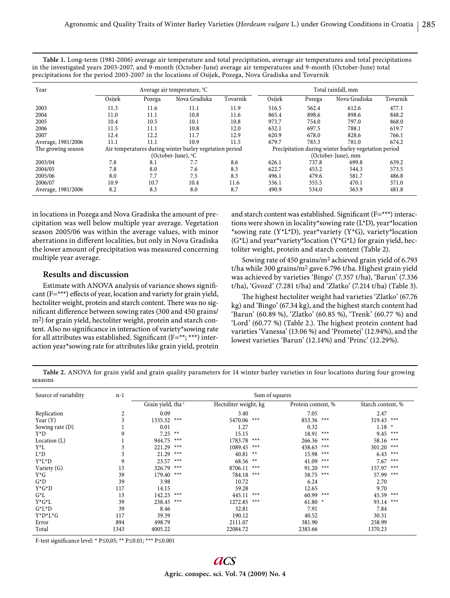**Table 1.** Long-term (1981-2006) average air temperature and total precipitation, average air temperatures and total precipitations in the investigated years 2003-2007, and 9-month (October-June) average air temperatures and 9-month (October-June) total precipitations for the period 2003-2007 in the locations of Osijek, Pozega, Nova Gradiska and Tovarnik

| Year               |        |                                                         | Average air temperature, °C |                                                      | Total rainfall, mm |        |               |          |  |
|--------------------|--------|---------------------------------------------------------|-----------------------------|------------------------------------------------------|--------------------|--------|---------------|----------|--|
|                    | Osijek | Pozega                                                  | Nova Gradiska               | Tovarnik                                             | Osijek             | Pozega | Nova Gradiska | Tovarnik |  |
| 2003               | 11.3   | 11.6                                                    | 11.1                        | 11.9                                                 | 516.5              | 562.4  | 612.6         | 477.1    |  |
| 2004               | 11.0   | 11.1                                                    | 10.8                        | 11.6                                                 | 865.4              | 898.6  | 898.6         | 848.2    |  |
| 2005               | 10.4   | 10.5                                                    | 10.1                        | 10.8                                                 | 973.7              | 754.0  | 797.0         | 868.0    |  |
| 2006               | 11.5   | 11.1                                                    | 10.8                        | 12.0                                                 | 632.1              | 697.5  | 788.1         | 619.7    |  |
| 2007               | 12.4   | 12.2                                                    | 11.7                        | 12.9                                                 | 620.9              | 678.0  | 828.6         | 766.1    |  |
| Average, 1981/2006 | 11.1   | 11.1                                                    | 10.9                        | 11.5                                                 | 679.7              | 783.3  | 781.0         | 674.2    |  |
| The growing season |        | Air temperatures during winter barley vegetation period |                             | Precipitation during winter barley vegetation period |                    |        |               |          |  |
|                    |        |                                                         | (October-June), °C          |                                                      | (October-June), mm |        |               |          |  |
| 2003/04            | 7.8    | 8.1                                                     | 7.7                         | 8.6                                                  | 626.1              | 737.8  | 699.8         | 639.2    |  |
| 2004/05            | 7.8    | 8.0                                                     | 7.6                         | 8.3                                                  | 622.7              | 453.2  | 544.3         | 573.5    |  |
| 2005/06            | 8.0    | 7.7                                                     | 7.5                         | 8.3                                                  | 496.1              | 479.6  | 581.7         | 486.8    |  |
| 2006/07            | 10.9   | 10.7                                                    | 10.4                        | 11.6                                                 | 336.1              | 355.5  | 470.1         | 371.0    |  |
| Average, 1981/2006 | 8.2    | 8.3                                                     | 8.0                         | 8.7                                                  | 490.9              | 534.0  | 563.9         | 481.8    |  |

in locations in Pozega and Nova Gradiska the amount of precipitation was well below multiple year average. Vegetation season 2005/06 was within the average values, with minor aberrations in different localities, but only in Nova Gradiska the lower amount of precipitation was measured concerning multiple year average.

# **Results and discussion**

Estimate with ANOVA analysis of variance shows significant  $(F=***)$  effects of year, location and variety for grain yield, hectoliter weight, protein and starch content. There was no significant difference between sowing rates (300 and 450 grains/ m<sup>2</sup>) for grain yield, hectoliter weight, protein and starch content. Also no significance in interaction of variety\*sowing rate for all attributes was established. Significant  $(F=**;***)$  interaction year\*sowing rate for attributes like grain yield, protein

and starch content was established. Significant  $(F=***)$  interactions were shown in locality\*sowing rate (L\*D), year\*location \*sowing rate (Y\*L\*D), year\*variety (Y\*G), variety\*location  $(G^*L)$  and year\*variety\*location  $(Y^*G^*L)$  for grain yield, hectoliter weight, protein and starch content (Table 2).

Sowing rate of 450 grains/m2 achieved grain yield of 6.793 t/ha while 300 grains/m2 gave 6.796 t/ha. Highest grain yield was achieved by varieties 'Bingo' (7.357 t/ha), 'Barun' (7.336 t/ha), 'Gvozd' (7.281 t/ha) and 'Zlatko' (7.214 t/ha) (Table 3).

The highest hectoliter weight had varieties 'Zlatko' (67.76) kg) and 'Bingo' (67.34 kg), and the highest starch content had 'Barun' (60.89 %), 'Zlatko' (60.85 %), 'Trenk' (60.77 %) and 'Lord' (60.77 %) (Table 2.). The highest protein content had varieties 'Vanessa' (13.06 %) and 'Prometej' (12.94%), and the lowest varieties 'Barun' (12.14%) and 'Princ' (12.29%).

**Table 2.** ANOVA for grain yield and grain quality parameters for 14 winter barley varieties in four locations during four growing seasons

| Source of variability | $n-1$ | Sum of squares                 |       |                       |       |                    |       |                   |       |  |
|-----------------------|-------|--------------------------------|-------|-----------------------|-------|--------------------|-------|-------------------|-------|--|
|                       |       | Grain yield, tha <sup>-1</sup> |       | Hectoliter weight, kg |       | Protein content, % |       | Starch content, % |       |  |
| Replication           | 2     | 0.09                           |       | 3.40                  |       | 7.05               |       | 2.47              |       |  |
| Year $(Y)$            | 3     | 1335.32                        | $***$ | 5470.06               | $***$ | 853.36             | $***$ | 319.43            | $***$ |  |
| Sowing rate (D)       |       | 0.01                           |       | 1.27                  |       | 0.32               |       | $1.18*$           |       |  |
| $Y^*D$                | 9     | $7.25$ **                      |       | 15.15                 |       | 18.91              | $***$ | $9.45$ ***        |       |  |
| Location $(L)$        |       | 944.75                         | $***$ | 1783.78               | $***$ | 266.36             | $***$ | 58.16             | $***$ |  |
| $Y^*L$                |       | 221.29                         | $***$ | 1089.45               | $***$ | 458.63             | $***$ | 301.20 ***        |       |  |
| $L^*D$                | 3     | 21.29                          | $***$ | 40.81                 | $**$  | 15.98              | $***$ | 6.43              | $***$ |  |
| $Y^*L^*D$             | 9     | 23.57                          | $***$ | 68.56                 | $**$  | 41.09              | $***$ | $7.67$ ***        |       |  |
| Variety (G)           | 13    | 326.79                         | $***$ | 8706.11               | $***$ | 91.20              | $***$ | 157.97            | $***$ |  |
| $Y^*G$                | 39    | 179.40                         | $***$ | 784.18                | $***$ | 58.75              | $***$ | 57.99 ***         |       |  |
| $G^*D$                | 39    | 3.98                           |       | 10.72                 |       | 6.24               |       | 2.70              |       |  |
| $Y^*G^*D$             | 117   | 14.15                          |       | 59.28                 |       | 12.65              |       | 9.70              |       |  |
| $G^*L$                | 13    | 142.25                         | $***$ | 445.11                | $***$ | 60.99 ***          |       | 45.59 ***         |       |  |
| $Y^*G^*L$             | 39    | 238.45                         | $***$ | 1272.85               | $***$ | 61.80 $*$          |       | 93.14 ***         |       |  |
| $G^*L^*D$             | 39    | 8.46                           |       | 32.81                 |       | 7.91               |       | 7.84              |       |  |
| $Y^*D^*L^*G$          | 117   | 39.39                          |       | 190.12                |       | 40.52              |       | 30.31             |       |  |
| Error                 | 894   | 498.79                         |       | 2111.07               |       | 381.90             |       | 258.99            |       |  |
| Total                 | 1343  | 4005.22                        |       | 22084.72              |       | 2383.66            |       | 1370.23           |       |  |

F-test significance level: \* P≤0,05; \*\* P≤0.01; \*\*\* P≤0.001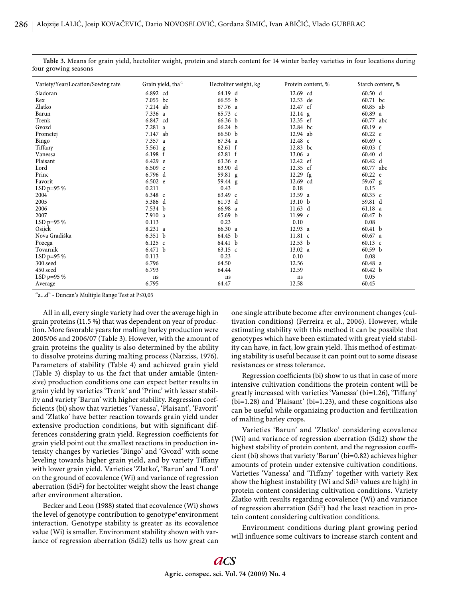| Variety/Year/Location/Sowing rate | Grain yield, tha <sup>-1</sup> | Hectoliter weight, kg | Protein content, % | Starch content, %  |
|-----------------------------------|--------------------------------|-----------------------|--------------------|--------------------|
| Sladoran                          | 6.892 cd                       | 64.19 d               | 12.69 cd           | 60.50 d            |
| Rex                               | 7.055 bc                       | 66.55 b               | 12.53 de           | 60.71 bc           |
| Zlatko                            | 7.214 ab                       | 67.76 a               | 12.47 ef           | 60.85 ab           |
| Barun                             | 7.336 a                        | $65.73 \text{ c}$     | $12.14$ g          | 60.89a             |
| Trenk                             | 6.847 cd                       | 66.36 b               | 12.35 ef           | 60.77 abc          |
| Gvozd                             | 7.281 a                        | 66.24 b               | 12.84 bc           | 60.19 e            |
| Prometej                          | 7.147 ab                       | 66.50 b               | 12.94 ab           | 60.22 e            |
| Bingo                             | 7.357 a                        | 67.34 a               | 12.48 e            | $60.69 \text{ c}$  |
| Tiffany                           | 5.561 g                        | 62.61 f               | 12.83 bc           | $60.03 \text{ f}$  |
| Vanessa                           | 6.198 f                        | 62.81 f               | 13.06 a            | 60.40 d            |
| Plaisant                          | 6.429 e                        | 63.36 e               | 12.42 ef           | 60.42 d            |
| Lord                              | $6.509$ e                      | 63.90 d               | 12.35 ef           | 60.77 abc          |
| Princ                             | 6.796 d                        | 59.81 g               | 12.29 fg           | 60.22 e            |
| Favorit                           | 6.502 e                        | 59.44 g               | 12.69 cd           | 59.67 g            |
| LSD p=95 %                        | 0.211                          | 0.43                  | 0.18               | 0.15               |
| 2004                              | 6.348 c                        | 63.49 c               | 13.59 a            | 60.35 $c$          |
| 2005                              | 5.386 d                        | 61.73 d               | 13.10 b            | 59.81 d            |
| 2006                              | 7.534 b                        | 66.98 a               | $11.63 \text{ d}$  | 61.18 a            |
| 2007                              | 7.910 a                        | 65.69 b               | $11.99 \text{ c}$  | 60.47 <sub>b</sub> |
| LSD $p=95%$                       | 0.113                          | 0.23                  | 0.10               | 0.08               |
| Osijek                            | 8.231 a                        | 66.30 a               | 12.93 a            | 60.41 b            |
| Nova Gradiška                     | 6.351 b                        | 64.45 b               | 11.81 c            | 60.67 a            |
| Pozega                            | 6.125 $c$                      | 64.41 b               | 12.53 b            | 60.13 $c$          |
| Tovarnik                          | 6.471 b                        | $63.15 \text{ c}$     | 13.02 a            | 60.59 <sub>b</sub> |
| LSD $p=95%$                       | 0.113                          | 0.23                  | 0.10               | 0.08               |
| 300 seed                          | 6.796                          | 64.50                 | 12.56              | 60.48 a            |
| 450 seed                          | 6.793                          | 64.44                 | 12.59              | 60.42 b            |
| LSD $p=95%$                       | ns                             | ns                    | ns                 | 0.05               |
| Average                           | 6.795                          | 64.47                 | 12.58              | 60.45              |

**Table 3.** Means for grain yield, hectoliter weight, protein and starch content for 14 winter barley varieties in four locations during four growing seasons

"a...d" - Duncan's Multiple Range Test at P≤0,05

All in all, every single variety had over the average high in grain proteins (11.5 %) that was dependent on year of production. More favorable years for malting barley production were 2005/06 and 2006/07 (Table 3). However, with the amount of grain proteins the quality is also determined by the ability to dissolve proteins during malting process (Narziss, 1976). Parameters of stability (Table 4) and achieved grain yield (Table 3) display to us the fact that under amiable (intensive) production conditions one can expect better results in grain yield by varieties 'Trenk' and 'Princ' with lesser stability and variety 'Barun' with higher stability. Regression coefficients (bi) show that varieties 'Vanessa', 'Plaisant', 'Favorit' and 'Zlatko' have better reaction towards grain yield under extensive production conditions, but with significant differences considering grain yield. Regression coefficients for grain yield point out the smallest reactions in production intensity changes by varieties 'Bingo' and 'Gvozd' with some leveling towards higher grain yield, and by variety Tiffany with lower grain yield. Varieties 'Zlatko', 'Barun' and 'Lord' on the ground of ecovalence (Wi) and variance of regression aberration (Sdi2) for hectoliter weight show the least change after environment alteration.

Becker and Leon (1988) stated that ecovalence (Wi) shows the level of genotype contribution to genotype\*environment interaction. Genotype stability is greater as its ecovalence value (Wi) is smaller. Environment stability shown with variance of regression aberration (Sdi2) tells us how great can one single attribute become after environment changes (cultivation conditions) (Ferreira et al., 2006). However, while estimating stability with this method it can be possible that genotypes which have been estimated with great yield stability can have, in fact, low grain yield. This method of estimating stability is useful because it can point out to some disease resistances or stress tolerance.

Regression coefficients (bi) show to us that in case of more intensive cultivation conditions the protein content will be greatly increased with varieties 'Vanessa' (bi=1.26), 'Tiffany' (bi=1.28) and 'Plaisant' (bi=1.23), and these cognitions also can be useful while organizing production and fertilization of malting barley crops.

Varieties 'Barun' and 'Zlatko' considering ecovalence (Wi) and variance of regression aberration (Sdi2) show the highest stability of protein content, and the regression coefficient (bi) shows that variety 'Barun' (bi=0.82) achieves higher amounts of protein under extensive cultivation conditions. Varieties 'Vanessa' and 'Tiffany' together with variety Rex show the highest instability (Wi and Sdi2 values are high) in protein content considering cultivation conditions. Variety Zlatko with results regarding ecovalence (Wi) and variance of regression aberration (Sdi2) had the least reaction in protein content considering cultivation conditions.

Environment conditions during plant growing period will influence some cultivars to increase starch content and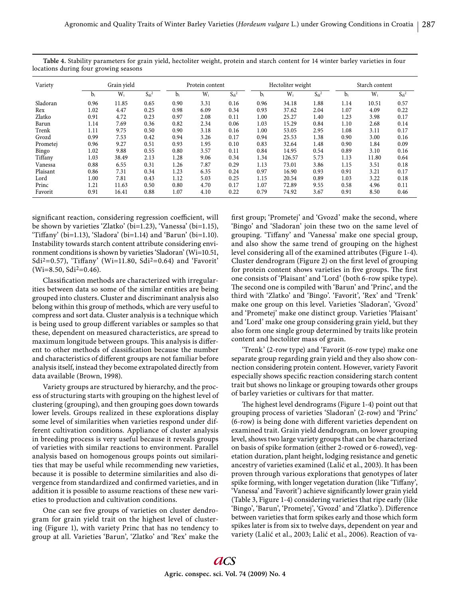| Variety  | Grain vield |       | Protein content |      |       | Hectoliter weight |      |        | Starch content |      |       |            |
|----------|-------------|-------|-----------------|------|-------|-------------------|------|--------|----------------|------|-------|------------|
|          | $b_i$       | $W_i$ | $S_{di}^2$      | Di   | $W_i$ | $S_{di}^2$        | bi   | $W_i$  | $S_{di}^2$     | Di   | $W_i$ | $S_{di}^2$ |
| Sladoran | 0.96        | 11.85 | 0.65            | 0.90 | 3.31  | 0.16              | 0.96 | 34.18  | 1.88           | 1.14 | 10.51 | 0.57       |
| Rex      | 1.02        | 4.47  | 0.25            | 0.98 | 6.09  | 0.34              | 0.93 | 37.62  | 2.04           | 1.07 | 4.09  | 0.22       |
| Zlatko   | 0.91        | 4.72  | 0.23            | 0.97 | 2.08  | 0.11              | 1.00 | 25.27  | 1.40           | 1.23 | 3.98  | 0.17       |
| Barun    | 1.14        | 7.69  | 0.36            | 0.82 | 2.34  | 0.06              | 1.03 | 15.29  | 0.84           | 1.10 | 2.68  | 0.14       |
| Trenk    | 1.11        | 9.75  | 0.50            | 0.90 | 3.18  | 0.16              | 1.00 | 53.05  | 2.95           | 1.08 | 3.11  | 0.17       |
| Gvozd    | 0.99        | 7.53  | 0.42            | 0.94 | 3.26  | 0.17              | 0.94 | 25.53  | 1.38           | 0.90 | 3.00  | 0.16       |
| Prometej | 0.96        | 9.27  | 0.51            | 0.93 | 1.95  | 0.10              | 0.83 | 32.64  | 1.48           | 0.90 | 1.84  | 0.09       |
| Bingo    | 1.02        | 9.88  | 0.55            | 0.80 | 3.57  | 0.11              | 0.84 | 14.95  | 0.54           | 0.89 | 3.10  | 0.16       |
| Tiffany  | 1.03        | 38.49 | 2.13            | 1.28 | 9.06  | 0.34              | 1.34 | 126.57 | 5.73           | 1.13 | 11.80 | 0.64       |
| Vanessa  | 0.88        | 6.55  | 0.31            | 1.26 | 7.87  | 0.29              | 1.13 | 73.01  | 3.86           | 1.15 | 3.51  | 0.18       |
| Plaisant | 0.86        | 7.31  | 0.34            | 1.23 | 6.35  | 0.24              | 0.97 | 16.90  | 0.93           | 0.91 | 3.21  | 0.17       |
| Lord     | 1.00        | 7.81  | 0.43            | 1.12 | 5.03  | 0.25              | 1.15 | 20.54  | 0.89           | 1.03 | 3.22  | 0.18       |
| Princ    | 1.21        | 11.63 | 0.50            | 0.80 | 4.70  | 0.17              | 1.07 | 72.89  | 9.55           | 0.58 | 4.96  | 0.11       |
| Favorit  | 0.91        | 16.41 | 0.88            | 1.07 | 4.10  | 0.22              | 0.79 | 74.92  | 3.67           | 0.91 | 8.50  | 0.46       |

**Table 4.** Stability parameters for grain yield, hectoliter weight, protein and starch content for 14 winter barley varieties in four locations during four growing seasons

significant reaction, considering regression coefficient, will be shown by varieties 'Zlatko' (bi=1.23), 'Vanessa' (bi=1.15), 'Tiffany' (bi=1.13), 'Sladora' (bi=1.14) and 'Barun' (bi=1.10). Instability towards starch content attribute considering environment conditions is shown by varieties 'Sladoran' (Wi=10.51, Sdi<sup>2</sup>=0.57), 'Tiffany' (Wi=11.80, Sdi<sup>2</sup>=0.64) and 'Favorit' (Wi=8.50, Sdi<sup>2</sup>=0.46).

Classification methods are characterized with irregularities between data so some of the similar entities are being grouped into clusters. Cluster and discriminant analysis also belong within this group of methods, which are very useful to compress and sort data. Cluster analysis is a technique which is being used to group different variables or samples so that these, dependent on measured characteristics, are spread to maximum longitude between groups. This analysis is different to other methods of classification because the number and characteristics of different groups are not familiar before analysis itself, instead they become extrapolated directly from data available (Brown, 1998).

Variety groups are structured by hierarchy, and the process of structuring starts with grouping on the highest level of clustering (grouping), and then grouping goes down towards lower levels. Groups realized in these explorations display some level of similarities when varieties respond under different cultivation conditions. Appliance of cluster analysis in breeding process is very useful because it reveals groups of varieties with similar reactions to environment. Parallel analysis based on homogenous groups points out similarities that may be useful while recommending new varieties, because it is possible to determine similarities and also divergence from standardized and confirmed varieties, and in addition it is possible to assume reactions of these new varieties to production and cultivation conditions.

One can see five groups of varieties on cluster dendrogram for grain yield trait on the highest level of clustering (Figure 1), with variety Princ that has no tendency to group at all. Varieties 'Barun', 'Zlatko' and 'Rex' make the first group; 'Prometej' and 'Gvozd' make the second, where 'Bingo' and 'Sladoran' join these two on the same level of grouping. 'Tiffany' and 'Vanessa' make one special group, and also show the same trend of grouping on the highest level considering all of the examined attributes (Figure 1-4). Cluster dendrogram (Figure 2) on the first level of grouping for protein content shows varieties in five groups. The first one consists of 'Plaisant' and 'Lord' (both 6-row spike type). The second one is compiled with 'Barun' and 'Princ', and the third with 'Zlatko' and 'Bingo'. 'Favorit', 'Rex' and 'Trenk' make one group on this level. Varieties 'Sladoran', 'Gvozd' and 'Prometej' make one distinct group. Varieties 'Plaisant' and 'Lord' make one group considering grain yield, but they also form one single group determined by traits like protein content and hectoliter mass of grain.

'Trenk' (2-row type) and 'Favorit (6-row type) make one separate group regarding grain yield and they also show connection considering protein content. However, variety Favorit especially shows specific reaction considering starch content trait but shows no linkage or grouping towards other groups of barley varieties or cultivars for that matter.

The highest level dendrograms (Figure 1-4) point out that grouping process of varieties 'Sladoran' (2-row) and 'Princ' (6-row) is being done with different varieties dependent on examined trait. Grain yield dendrogram, on lower grouping level, shows two large variety groups that can be characterized on basis of spike formation (either 2-rowed or 6-rowed), vegetation duration, plant height, lodging resistance and genetic ancestry of varieties examined (Lalić et al., 2003). It has been proven through various explorations that genotypes of later spike forming, with longer vegetation duration (like 'Tiffany', 'Vanessa' and 'Favorit') achieve significantly lower grain yield (Table 3, Figure 1-4) considering varieties that ripe early (like 'Bingo', 'Barun', 'Prometej', 'Gvozd' and 'Zlatko'). Difference between varieties that form spikes early and those which form spikes later is from six to twelve days, dependent on year and variety (Lalić et al., 2003; Lalić et al., 2006). Reaction of va-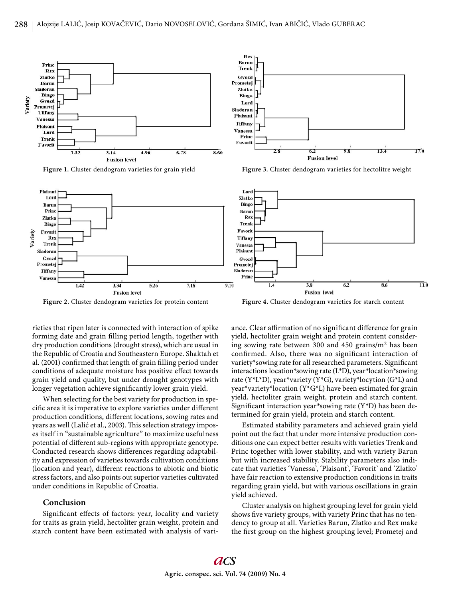

**Figure 1.** Cluster dendogram varieties for grain yield



Rev

**Figure 2.** Cluster dendogram varieties for protein content

**Figure 4.** Cluster dendogram varieties for starch content

rieties that ripen later is connected with interaction of spike forming date and grain filling period length, together with dry production conditions (drought stress), which are usual in the Republic of Croatia and Southeastern Europe. Shaktah et al. (2001) confirmed that length of grain filling period under conditions of adequate moisture has positive effect towards grain yield and quality, but under drought genotypes with longer vegetation achieve significantly lower grain yield.

When selecting for the best variety for production in specific area it is imperative to explore varieties under different production conditions, different locations, sowing rates and years as well (Lalić et al., 2003). This selection strategy imposes itself in "sustainable agriculture" to maximize usefulness potential of different sub-regions with appropriate genotype. Conducted research shows differences regarding adaptability and expression of varieties towards cultivation conditions (location and year), different reactions to abiotic and biotic stress factors, and also points out superior varieties cultivated under conditions in Republic of Croatia.

# **Conclusion**

Significant effects of factors: year, locality and variety for traits as grain yield, hectoliter grain weight, protein and starch content have been estimated with analysis of variance. Clear affirmation of no significant difference for grain yield, hectoliter grain weight and protein content considering sowing rate between 300 and 450 grains/m2 has been confirmed. Also, there was no significant interaction of variety\*sowing rate for all researched parameters. Significant interactions location\*sowing rate (L\*D), year\*location\*sowing rate (Y\*L\*D), year\*variety (Y\*G), variety\*locytion (G\*L) and year\*variety\*location (Y\*G\*L) have been estimated for grain yield, hectoliter grain weight, protein and starch content. Significant interaction year\*sowing rate (Y\*D) has been determined for grain yield, protein and starch content.

Estimated stability parameters and achieved grain yield point out the fact that under more intensive production conditions one can expect better results with varieties Trenk and Princ together with lower stability, and with variety Barun but with increased stability. Stability parameters also indicate that varieties 'Vanessa', 'Plaisant', 'Favorit' and 'Zlatko' have fair reaction to extensive production conditions in traits regarding grain yield, but with various oscillations in grain yield achieved.

Cluster analysis on highest grouping level for grain yield shows five variety groups, with variety Princ that has no tendency to group at all. Varieties Barun, Zlatko and Rex make the first group on the highest grouping level; Prometej and



**Figure 3.** Cluster dendogram varieties for hectolitre weight